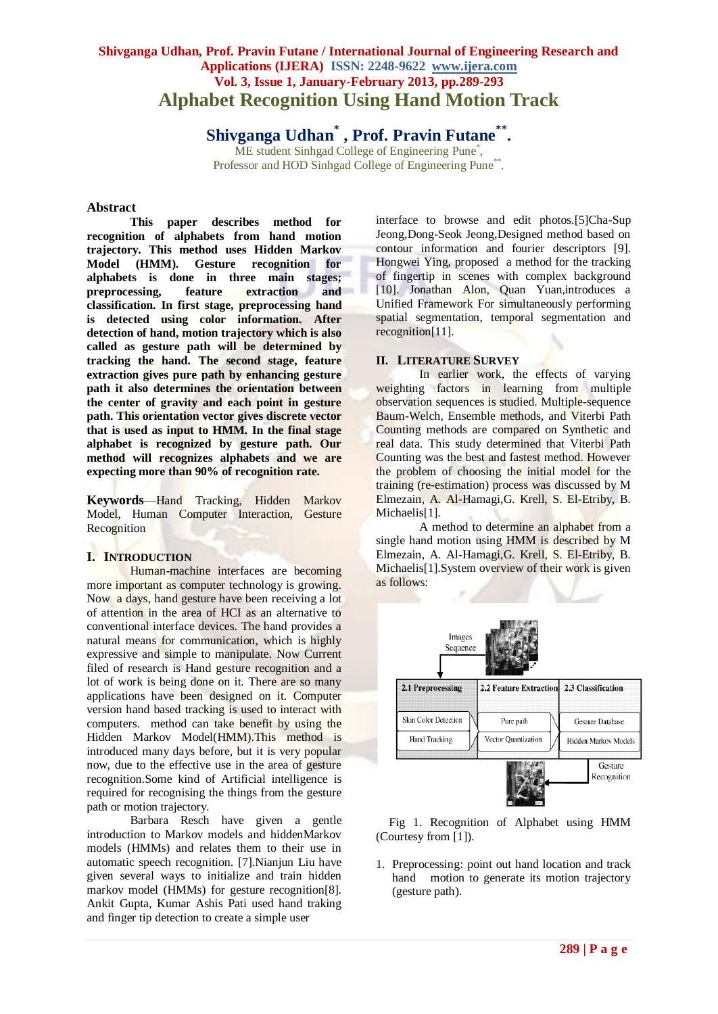# **Shivganga Udhan, Prof. Pravin Futane / International Journal of Engineering Research and Applications (IJERA) ISSN: 2248-9622 www.ijera.com Vol. 3, Issue 1, January-February 2013, pp.289-293 Alphabet Recognition Using Hand Motion Track**

**Shivganga Udhan\* , Prof. Pravin Futane\*\* .**

ME student Sinhgad College of Engineering Pune<sup>\*</sup>, Professor and HOD Sinhgad College of Engineering Pune\*\*.

### **Abstract**

**This paper describes method for recognition of alphabets from hand motion trajectory. This method uses Hidden Markov Model (HMM). Gesture recognition for alphabets is done in three main stages; preprocessing, feature extraction and classification. In first stage, preprocessing hand is detected using color information. After detection of hand, motion trajectory which is also called as gesture path will be determined by tracking the hand. The second stage, feature extraction gives pure path by enhancing gesture path it also determines the orientation between the center of gravity and each point in gesture path. This orientation vector gives discrete vector that is used as input to HMM. In the final stage alphabet is recognized by gesture path. Our method will recognizes alphabets and we are expecting more than 90% of recognition rate.** 

**Keywords**—Hand Tracking, Hidden Markov Model, Human Computer Interaction, Gesture **Recognition** 

# **I. INTRODUCTION**

Human-machine interfaces are becoming more important as computer technology is growing. Now a days, hand gesture have been receiving a lot of attention in the area of HCI as an alternative to conventional interface devices. The hand provides a natural means for communication, which is highly expressive and simple to manipulate. Now Current filed of research is Hand gesture recognition and a lot of work is being done on it. There are so many applications have been designed on it. Computer version hand based tracking is used to interact with computers. method can take benefit by using the Hidden Markov Model(HMM).This method is introduced many days before, but it is very popular now, due to the effective use in the area of gesture recognition.Some kind of Artificial intelligence is required for recognising the things from the gesture path or motion trajectory.

Barbara Resch have given a gentle introduction to Markov models and hiddenMarkov models (HMMs) and relates them to their use in automatic speech recognition. [7].Nianjun Liu have given several ways to initialize and train hidden markov model (HMMs) for gesture recognition[8]. Ankit Gupta, Kumar Ashis Pati used hand traking and finger tip detection to create a simple user

interface to browse and edit photos.[5]Cha-Sup Jeong,Dong-Seok Jeong,Designed method based on contour information and fourier descriptors [9]. Hongwei Ying, proposed a method for the tracking of fingertip in scenes with complex background [10]. Jonathan Alon, Quan Yuan,introduces a Unified Framework For simultaneously performing spatial segmentation, temporal segmentation and recognition[11].

### **II. LITERATURE SURVEY**

In earlier work, the effects of varying weighting factors in learning from multiple observation sequences is studied. Multiple-sequence Baum-Welch, Ensemble methods, and Viterbi Path Counting methods are compared on Synthetic and real data. This study determined that Viterbi Path Counting was the best and fastest method. However the problem of choosing the initial model for the training (re-estimation) process was discussed by M Elmezain, A. Al-Hamagi,G. Krell, S. El-Etriby, B. Michaelis<sup>[1]</sup>.

A method to determine an alphabet from a single hand motion using HMM is described by M Elmezain, A. Al-Hamagi,G. Krell, S. El-Etriby, B. Michaelis[1].System overview of their work is given as follows:



Fig 1. Recognition of Alphabet using HMM (Courtesy from [1]).

1. Preprocessing: point out hand location and track hand motion to generate its motion trajectory (gesture path).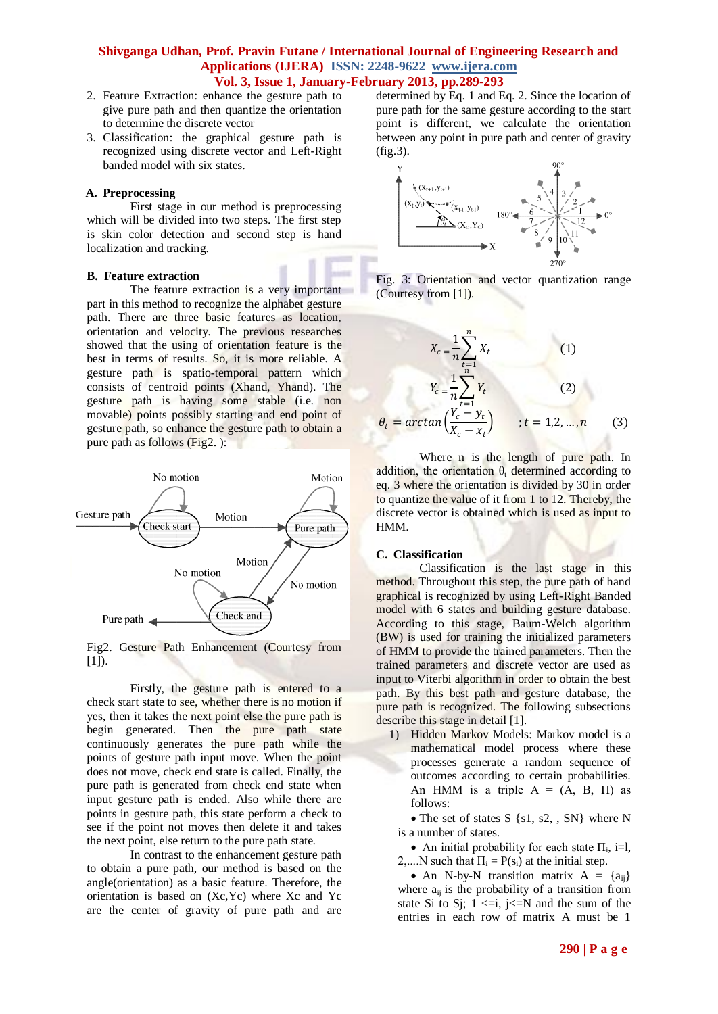- 2. Feature Extraction: enhance the gesture path to give pure path and then quantize the orientation to determine the discrete vector
- 3. Classification: the graphical gesture path is recognized using discrete vector and Left-Right banded model with six states.

#### **A. Preprocessing**

First stage in our method is preprocessing which will be divided into two steps. The first step is skin color detection and second step is hand localization and tracking.

#### **B. Feature extraction**

The feature extraction is a very important part in this method to recognize the alphabet gesture path. There are three basic features as location, orientation and velocity. The previous researches showed that the using of orientation feature is the best in terms of results. So, it is more reliable. A gesture path is spatio-temporal pattern which consists of centroid points (Xhand, Yhand). The gesture path is having some stable (i.e. non movable) points possibly starting and end point of gesture path, so enhance the gesture path to obtain a pure path as follows (Fig2. ):



Fig2. Gesture Path Enhancement (Courtesy from  $[1]$ ).

Firstly, the gesture path is entered to a check start state to see, whether there is no motion if yes, then it takes the next point else the pure path is begin generated. Then the pure path state continuously generates the pure path while the points of gesture path input move. When the point does not move, check end state is called. Finally, the pure path is generated from check end state when input gesture path is ended. Also while there are points in gesture path, this state perform a check to see if the point not moves then delete it and takes the next point, else return to the pure path state.

In contrast to the enhancement gesture path to obtain a pure path, our method is based on the angle(orientation) as a basic feature. Therefore, the orientation is based on (Xc,Yc) where Xc and Yc are the center of gravity of pure path and are determined by Eq. 1 and Eq. 2. Since the location of pure path for the same gesture according to the start point is different, we calculate the orientation between any point in pure path and center of gravity (fig.3).





$$
X_c = \frac{1}{n} \sum_{t=1}^{n} X_t
$$
(1)  

$$
Y_c = \frac{1}{n} \sum_{t=1}^{n} Y_t
$$
(2)  

$$
\theta_t = \arctan\left(\frac{Y_c - y_t}{X_c - x_t}\right)
$$
;  $t = 1, 2, ..., n$ (3)

Where n is the length of pure path. In addition, the orientation  $\theta_t$  determined according to eq. 3 where the orientation is divided by 30 in order to quantize the value of it from 1 to 12. Thereby, the discrete vector is obtained which is used as input to HMM.

#### **C. Classification**

Classification is the last stage in this method. Throughout this step, the pure path of hand graphical is recognized by using Left-Right Banded model with 6 states and building gesture database. According to this stage, Baum-Welch algorithm (BW) is used for training the initialized parameters of HMM to provide the trained parameters. Then the trained parameters and discrete vector are used as input to Viterbi algorithm in order to obtain the best path. By this best path and gesture database, the pure path is recognized. The following subsections describe this stage in detail [1].

1) Hidden Markov Models: Markov model is a mathematical model process where these processes generate a random sequence of outcomes according to certain probabilities. An HMM is a triple  $A = (A, B, \Pi)$  as follows:

• The set of states S {s1, s2, , SN} where N is a number of states.

• An initial probability for each state  $\Pi_i$ , i=l, 2,....N such that  $\Pi_i = P(s_i)$  at the initial step.

• An N-by-N transition matrix  $A = \{a_{ii}\}\$ where  $a_{ii}$  is the probability of a transition from state Si to Sj;  $1 \le i$ ,  $j \le N$  and the sum of the entries in each row of matrix A must be 1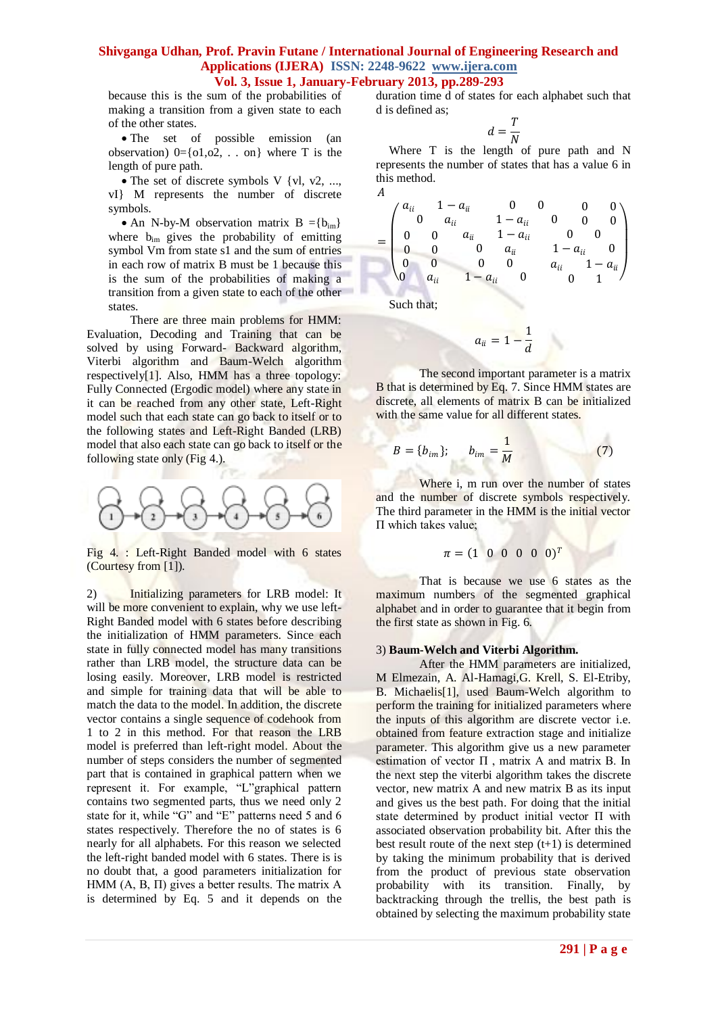because this is the sum of the probabilities of making a transition from a given state to each of the other states.

• The set of possible emission (an observation)  $0 = \{0, 0, 0, \ldots, 0\}$  where T is the length of pure path.

• The set of discrete symbols V {vl, v2, ..., vI} M represents the number of discrete symbols.

• An N-by-M observation matrix  $B = \{b_{im}\}\$ where  $b_{im}$  gives the probability of emitting symbol Vm from state s1 and the sum of entries in each row of matrix B must be 1 because this is the sum of the probabilities of making a transition from a given state to each of the other states.

There are three main problems for HMM: Evaluation, Decoding and Training that can be solved by using Forward- Backward algorithm, Viterbi algorithm and Baum-Welch algorithm respectively[1]. Also, HMM has a three topology: Fully Connected (Ergodic model) where any state in it can be reached from any other state, Left-Right model such that each state can go back to itself or to the following states and Left-Right Banded (LRB) model that also each state can go back to itself or the following state only (Fig 4.).



Fig 4. : Left-Right Banded model with 6 states (Courtesy from [1]).

2) Initializing parameters for LRB model: It will be more convenient to explain, why we use left-Right Banded model with 6 states before describing the initialization of HMM parameters. Since each state in fully connected model has many transitions rather than LRB model, the structure data can be losing easily. Moreover, LRB model is restricted and simple for training data that will be able to match the data to the model. In addition, the discrete vector contains a single sequence of codehook from 1 to 2 in this method. For that reason the LRB model is preferred than left-right model. About the number of steps considers the number of segmented part that is contained in graphical pattern when we represent it. For example, "L"graphical pattern contains two segmented parts, thus we need only 2 state for it, while "G" and "E" patterns need 5 and 6 states respectively. Therefore the no of states is 6 nearly for all alphabets. For this reason we selected the left-right banded model with 6 states. There is is no doubt that, a good parameters initialization for HMM  $(A, B, \Pi)$  gives a better results. The matrix A is determined by Eq. 5 and it depends on the duration time d of states for each alphabet such that d is defined as;

$$
d=\frac{T}{N}
$$

Where T is the length of pure path and N represents the number of states that has a value 6 in this method.

$$
A
$$
\n
$$
= \begin{pmatrix}\na_{ii} & 1 - a_{ii} & 0 & 0 & 0 & 0 \\
0 & a_{ii} & 1 - a_{ii} & 0 & 0 & 0 \\
0 & 0 & a_{ii} & 1 - a_{ii} & 0 & 0 \\
0 & 0 & 0 & a_{ii} & 1 - a_{ii} & 0 \\
0 & 0 & 0 & 0 & a_{ii} & 1 - a_{ii}\n\end{pmatrix}
$$

Such that;

$$
a_{ii} = 1 - \frac{1}{d}
$$

The second important parameter is a matrix B that is determined by Eq. 7. Since HMM states are discrete, all elements of matrix B can be initialized with the same value for all different states.

$$
B = \{b_{im}\}; \qquad b_{im} = \frac{1}{M} \tag{7}
$$

Where i, m run over the number of states and the number of discrete symbols respectively. The third parameter in the HMM is the initial vector Π which takes value;

$$
\pi = (1 \ 0 \ 0 \ 0 \ 0 \ 0)^T
$$

That is because we use 6 states as the maximum numbers of the segmented graphical alphabet and in order to guarantee that it begin from the first state as shown in Fig. 6.

### 3) **Baum-Welch and Viterbi Algorithm.**

After the HMM parameters are initialized, M Elmezain, A. Al-Hamagi,G. Krell, S. El-Etriby, B. Michaelis[1], used Baum-Welch algorithm to perform the training for initialized parameters where the inputs of this algorithm are discrete vector i.e. obtained from feature extraction stage and initialize parameter. This algorithm give us a new parameter estimation of vector  $\Pi$ , matrix A and matrix B. In the next step the viterbi algorithm takes the discrete vector, new matrix A and new matrix B as its input and gives us the best path. For doing that the initial state determined by product initial vector Π with associated observation probability bit. After this the best result route of the next step  $(t+1)$  is determined by taking the minimum probability that is derived from the product of previous state observation probability with its transition. Finally, by backtracking through the trellis, the best path is obtained by selecting the maximum probability state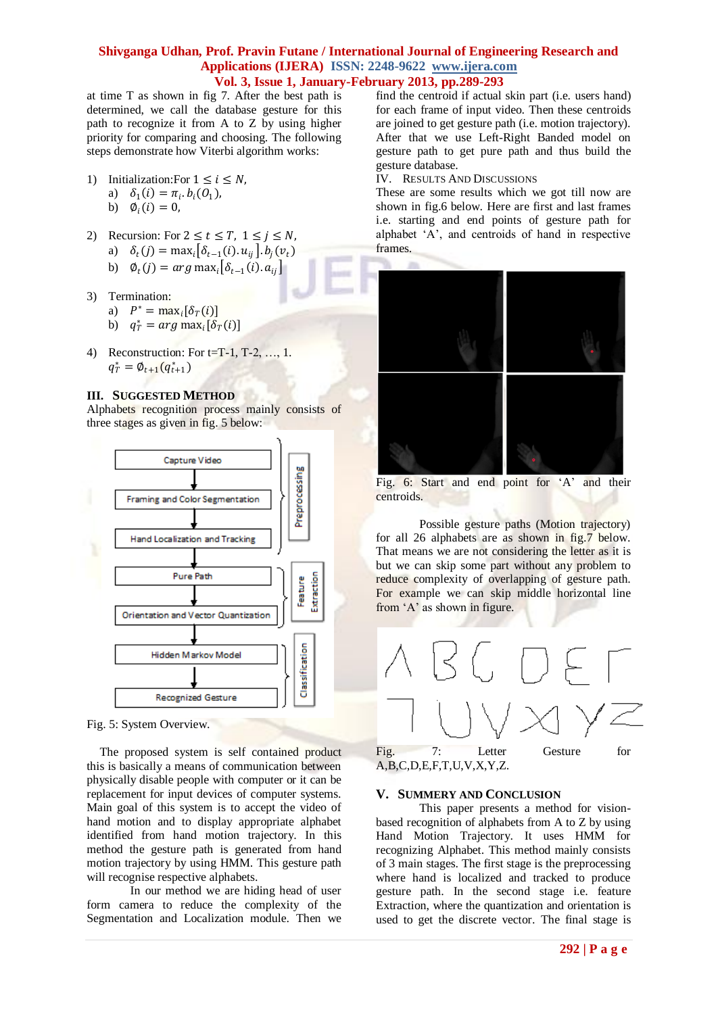at time T as shown in fig 7. After the best path is determined, we call the database gesture for this path to recognize it from A to Z by using higher priority for comparing and choosing. The following steps demonstrate how Viterbi algorithm works:

- 1) Initialization: For  $1 \le i \le N$ , a)  $\delta_1(i) = \pi_i \cdot b_i(0_1)$ ,
	- b)  $\phi_i(i) = 0$ ,
- 2) Recursion: For  $2 \le t \le T$ ,  $1 \le j \le N$ , a)  $\delta_t(j) = \max_i [\delta_{t-1}(i) \cdot u_{ij}] \cdot b_j(v_t)$ b)  $\varphi_t(j) = arg \max_i \bigl[ \delta_{t-1}(i) . a_{ij} \bigr]$
- 3) Termination: a)  $P^* = \max_i [\delta_T(i)]$ b)  $q_T^* = arg max_i[\delta_T(i)]$
- 4) Reconstruction: For t=T-1, T-2, …, 1.  $q_T^* = \emptyset_{t+1}(q_{t+1}^*)$

### **III. SUGGESTED METHOD**

Alphabets recognition process mainly consists of three stages as given in fig. 5 below:



Fig. 5: System Overview.

The proposed system is self contained product this is basically a means of communication between physically disable people with computer or it can be replacement for input devices of computer systems. Main goal of this system is to accept the video of hand motion and to display appropriate alphabet identified from hand motion trajectory. In this method the gesture path is generated from hand motion trajectory by using HMM. This gesture path will recognise respective alphabets.

In our method we are hiding head of user form camera to reduce the complexity of the Segmentation and Localization module. Then we find the centroid if actual skin part (i.e. users hand) for each frame of input video. Then these centroids are joined to get gesture path (i.e. motion trajectory). After that we use Left-Right Banded model on gesture path to get pure path and thus build the gesture database.

IV. RESULTS AND DISCUSSIONS

These are some results which we got till now are shown in fig.6 below. Here are first and last frames i.e. starting and end points of gesture path for alphabet ‗A', and centroids of hand in respective frames.



Fig. 6: Start and end point for 'A' and their centroids.

Possible gesture paths (Motion trajectory) for all 26 alphabets are as shown in fig.7 below. That means we are not considering the letter as it is but we can skip some part without any problem to reduce complexity of overlapping of gesture path. For example we can skip middle horizontal line from 'A' as shown in figure.



Fig. 7: Letter Gesture for A,B,C,D,E,F,T,U,V,X,Y,Z.

# **V. SUMMERY AND CONCLUSION**

This paper presents a method for visionbased recognition of alphabets from A to Z by using Hand Motion Trajectory. It uses HMM for recognizing Alphabet. This method mainly consists of 3 main stages. The first stage is the preprocessing where hand is localized and tracked to produce gesture path. In the second stage i.e. feature Extraction, where the quantization and orientation is used to get the discrete vector. The final stage is